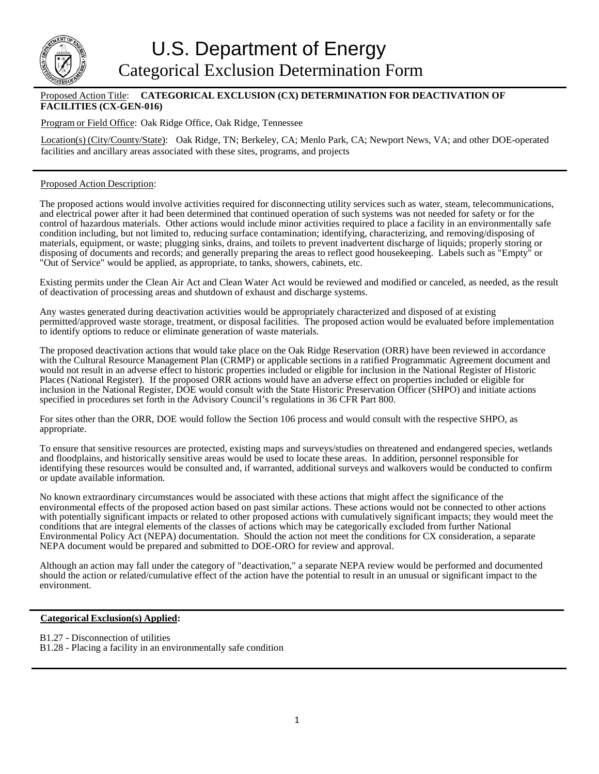

## Proposed Action Title: **CATEGORICAL EXCLUSION (CX) DETERMINATION FOR DEACTIVATION OF FACILITIES (CX-GEN-016)**

Program or Field Office: Oak Ridge Office, Oak Ridge, Tennessee

Location(s) (City/County/State): Oak Ridge, TN; Berkeley, CA; Menlo Park, CA; Newport News, VA; and other DOE-operated facilities and ancillary areas associated with these sites, programs, and projects

## Proposed Action Description:

The proposed actions would involve activities required for disconnecting utility services such as water, steam, telecommunications, and electrical power after it had been determined that continued operation of such systems was not needed for safety or for the control of hazardous materials. Other actions would include minor activities required to place a facility in an environmentally safe condition including, but not limited to, reducing surface contamination; identifying, characterizing, and removing/disposing of materials, equipment, or waste; plugging sinks, drains, and toilets to prevent inadvertent discharge of liquids; properly storing or disposing of documents and records; and generally preparing the areas to reflect good housekeeping. Labels such as "Empty" or "Out of Service" would be applied, as appropriate, to tanks, showers, cabinets, etc.

Existing permits under the Clean Air Act and Clean Water Act would be reviewed and modified or canceled, as needed, as the result of deactivation of processing areas and shutdown of exhaust and discharge systems.

Any wastes generated during deactivation activities would be appropriately characterized and disposed of at existing permitted/approved waste storage, treatment, or disposal facilities. The proposed action would be evaluated before implementation to identify options to reduce or eliminate generation of waste materials.

The proposed deactivation actions that would take place on the Oak Ridge Reservation (ORR) have been reviewed in accordance with the Cultural Resource Management Plan (CRMP) or applicable sections in a ratified Programmatic Agreement document and would not result in an adverse effect to historic properties included or eligible for inclusion in the National Register of Historic Places (National Register). If the proposed ORR actions would have an adverse effect on properties included or eligible for inclusion in the National Register, DOE would consult with the State Historic Preservation Officer (SHPO) and initiate actions specified in procedures set forth in the Advisory Council's regulations in 36 CFR Part 800.

For sites other than the ORR, DOE would follow the Section 106 process and would consult with the respective SHPO, as appropriate.

To ensure that sensitive resources are protected, existing maps and surveys/studies on threatened and endangered species, wetlands and floodplains, and historically sensitive areas would be used to locate these areas. In addition, personnel responsible for identifying these resources would be consulted and, if warranted, additional surveys and walkovers would be conducted to confirm or update available information.

No known extraordinary circumstances would be associated with these actions that might affect the significance of the environmental effects of the proposed action based on past similar actions. These actions would not be connected to other actions with potentially significant impacts or related to other proposed actions with cumulatively significant impacts; they would meet the conditions that are integral elements of the classes of actions which may be categorically excluded from further National Environmental Policy Act (NEPA) documentation. Should the action not meet the conditions for CX consideration, a separate NEPA document would be prepared and submitted to DOE-ORO for review and approval.

Although an action may fall under the category of "deactivation," a separate NEPA review would be performed and documented should the action or related/cumulative effect of the action have the potential to result in an unusual or significant impact to the environment.

## **Categorical Exclusion(s) Applied:**

- B1.27 Disconnection of utilities
- B1.28 Placing a facility in an environmentally safe condition